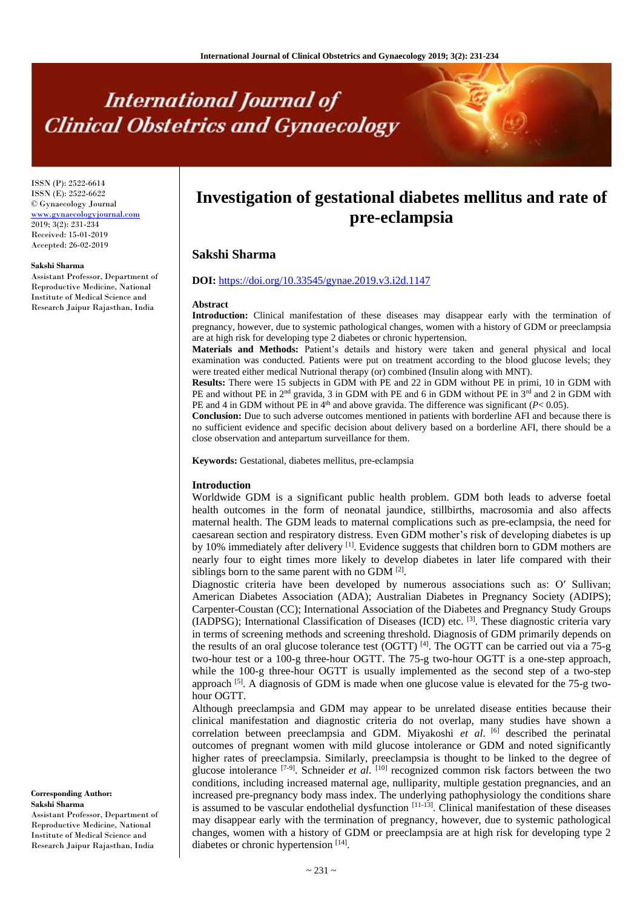# **International Journal of Clinical Obstetrics and Gynaecology**

ISSN (P): 2522-6614 ISSN (E): 2522-6622 © Gynaecology Journal [www.gynaecologyjournal.com](http://www.gynaecologyjournal.com/) 2019; 3(2): 231-234 Received: 15-01-2019 Accepted: 26-02-2019

#### **Sakshi Sharma**

Assistant Professor, Department of Reproductive Medicine, National Institute of Medical Science and Research Jaipur Rajasthan, India

# **Investigation of gestational diabetes mellitus and rate of pre-eclampsia**

# **Sakshi Sharma**

# **DOI:** <https://doi.org/10.33545/gynae.2019.v3.i2d.1147>

#### **Abstract**

**Introduction:** Clinical manifestation of these diseases may disappear early with the termination of pregnancy, however, due to systemic pathological changes, women with a history of GDM or preeclampsia are at high risk for developing type 2 diabetes or chronic hypertension.

**Materials and Methods:** Patient's details and history were taken and general physical and local examination was conducted. Patients were put on treatment according to the blood glucose levels; they were treated either medical Nutrional therapy (or) combined (Insulin along with MNT).

**Results:** There were 15 subjects in GDM with PE and 22 in GDM without PE in primi, 10 in GDM with PE and without PE in 2<sup>nd</sup> gravida, 3 in GDM with PE and 6 in GDM without PE in 3<sup>rd</sup> and 2 in GDM with PE and 4 in GDM without PE in  $4<sup>th</sup>$  and above gravida. The difference was significant ( $P < 0.05$ ).

**Conclusion:** Due to such adverse outcomes mentioned in patients with borderline AFI and because there is no sufficient evidence and specific decision about delivery based on a borderline AFI, there should be a close observation and antepartum surveillance for them.

**Keywords:** Gestational, diabetes mellitus, pre-eclampsia

#### **Introduction**

Worldwide GDM is a significant public health problem. GDM both leads to adverse foetal health outcomes in the form of neonatal jaundice, stillbirths, macrosomia and also affects maternal health. The GDM leads to maternal complications such as pre-eclampsia, the need for caesarean section and respiratory distress. Even GDM mother's risk of developing diabetes is up by 10% immediately after delivery [1]. Evidence suggests that children born to GDM mothers are nearly four to eight times more likely to develop diabetes in later life compared with their siblings born to the same parent with no GDM  $[2]$ .

Diagnostic criteria have been developed by numerous associations such as: O′ Sullivan; American Diabetes Association (ADA); Australian Diabetes in Pregnancy Society (ADIPS); Carpenter-Coustan (CC); International Association of the Diabetes and Pregnancy Study Groups (IADPSG); International Classification of Diseases (ICD) etc. <sup>[3]</sup>. These diagnostic criteria vary in terms of screening methods and screening threshold. Diagnosis of GDM primarily depends on the results of an oral glucose tolerance test (OGTT)  $^{[4]}$ . The OGTT can be carried out via a 75-g two-hour test or a 100-g three-hour OGTT. The 75-g two-hour OGTT is a one-step approach, while the 100-g three-hour OGTT is usually implemented as the second step of a two-step approach  $^{[5]}$ . A diagnosis of GDM is made when one glucose value is elevated for the 75-g twohour OGTT.

Although preeclampsia and GDM may appear to be unrelated disease entities because their clinical manifestation and diagnostic criteria do not overlap, many studies have shown a correlation between preeclampsia and GDM. Miyakoshi *et al*. [6] described the perinatal outcomes of pregnant women with mild glucose intolerance or GDM and noted significantly higher rates of preeclampsia. Similarly, preeclampsia is thought to be linked to the degree of glucose intolerance <sup>[7-9]</sup>. Schneider *et al.* <sup>[10]</sup> recognized common risk factors between the two conditions, including increased maternal age, nulliparity, multiple gestation pregnancies, and an increased pre-pregnancy body mass index. The underlying pathophysiology the conditions share is assumed to be vascular endothelial dysfunction  $[11-13]$ . Clinical manifestation of these diseases may disappear early with the termination of pregnancy, however, due to systemic pathological changes, women with a history of GDM or preeclampsia are at high risk for developing type 2 diabetes or chronic hypertension [14].

**Corresponding Author: Sakshi Sharma**

Assistant Professor, Department of Reproductive Medicine, National Institute of Medical Science and Research Jaipur Rajasthan, India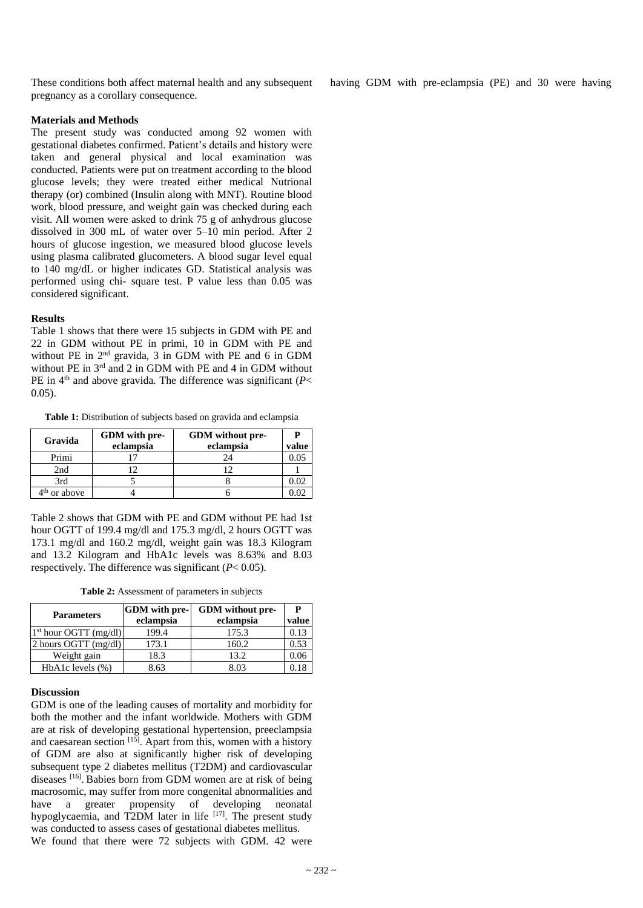These conditions both affect maternal health and any subsequent pregnancy as a corollary consequence.

having GDM with pre-eclampsia (PE) and 30 were having

# **Materials and Methods**

The present study was conducted among 92 women with gestational diabetes confirmed. Patient's details and history were taken and general physical and local examination was conducted. Patients were put on treatment according to the blood glucose levels; they were treated either medical Nutrional therapy (or) combined (Insulin along with MNT). Routine blood work, blood pressure, and weight gain was checked during each visit. All women were asked to drink 75 g of anhydrous glucose dissolved in 300 mL of water over 5–10 min period. After 2 hours of glucose ingestion, we measured blood glucose levels using plasma calibrated glucometers. A blood sugar level equal to 140 mg/dL or higher indicates GD. Statistical analysis was performed using chi- square test. P value less than 0.05 was considered significant.

# **Results**

Table 1 shows that there were 15 subjects in GDM with PE and 22 in GDM without PE in primi, 10 in GDM with PE and without PE in 2nd gravida, 3 in GDM with PE and 6 in GDM without PE in  $3^{rd}$  and 2 in GDM with PE and 4 in GDM without PE in  $4<sup>th</sup>$  and above gravida. The difference was significant ( $P$  < 0.05).

Table 1: Distribution of subjects based on gravida and eclampsia

| Gravida                  | GDM with pre-<br>eclampsia | GDM without pre-<br>eclampsia | value |
|--------------------------|----------------------------|-------------------------------|-------|
| Primi                    |                            | 24                            |       |
| 2nd                      |                            |                               |       |
| 3rd                      |                            |                               |       |
| 4 <sup>th</sup> or above |                            |                               |       |

Table 2 shows that GDM with PE and GDM without PE had 1st hour OGTT of 199.4 mg/dl and 175.3 mg/dl, 2 hours OGTT was 173.1 mg/dl and 160.2 mg/dl, weight gain was 18.3 Kilogram and 13.2 Kilogram and HbA1c levels was 8.63% and 8.03 respectively. The difference was significant  $(P< 0.05)$ .

|  | <b>Table 2:</b> Assessment of parameters in subjects |  |  |  |
|--|------------------------------------------------------|--|--|--|
|--|------------------------------------------------------|--|--|--|

| <b>Parameters</b>       | GDM with pre-<br>eclampsia | GDM without pre-<br>eclampsia | P<br>value |
|-------------------------|----------------------------|-------------------------------|------------|
| $1st$ hour OGTT (mg/dl) | 199.4                      | 175.3                         | 0.13       |
| 2 hours OGTT $(mg/dl)$  | 173.1                      | 160.2                         | 0.53       |
| Weight gain             | 18.3                       | 13.2                          | 0.06       |
| HbA1c levels $(\%)$     | 8.63                       | 8 03                          |            |

## **Discussion**

GDM is one of the leading causes of mortality and morbidity for both the mother and the infant worldwide. Mothers with GDM are at risk of developing gestational hypertension, preeclampsia and caesarean section [15]. Apart from this, women with a history of GDM are also at significantly higher risk of developing subsequent type 2 diabetes mellitus (T2DM) and cardiovascular diseases [16]. Babies born from GDM women are at risk of being macrosomic, may suffer from more congenital abnormalities and have a greater propensity of developing neonatal hypoglycaemia, and T2DM later in life [17]. The present study was conducted to assess cases of gestational diabetes mellitus. We found that there were 72 subjects with GDM. 42 were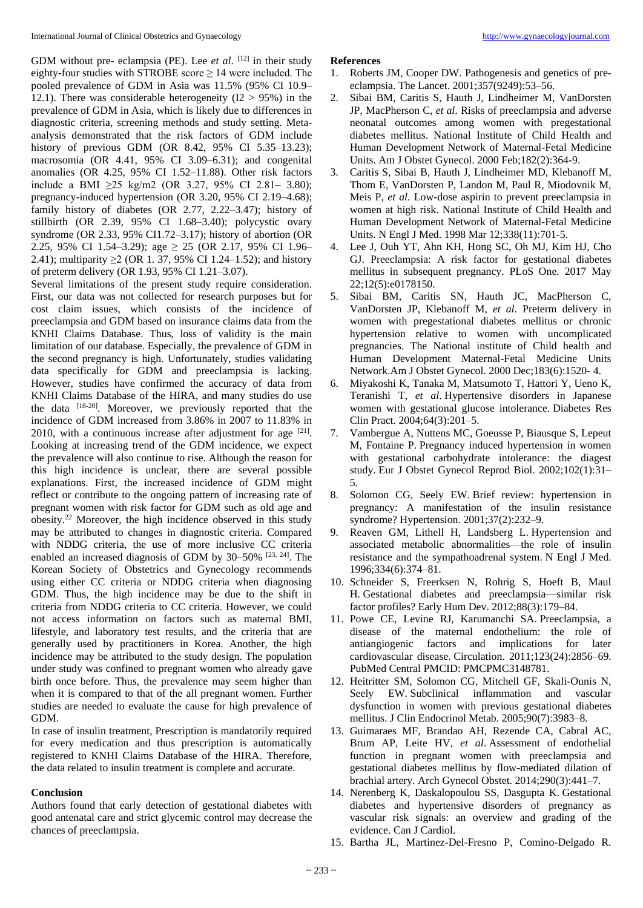GDM without pre- eclampsia (PE). Lee *et al*. <sup>[12]</sup> in their study eighty-four studies with STROBE score  $\geq 14$  were included. The pooled prevalence of GDM in Asia was 11.5% (95% CI 10.9– 12.1). There was considerable heterogeneity  $(12 > 95%)$  in the prevalence of GDM in Asia, which is likely due to differences in diagnostic criteria, screening methods and study setting. Metaanalysis demonstrated that the risk factors of GDM include history of previous GDM (OR 8.42, 95% CI 5.35–13.23); macrosomia (OR 4.41, 95% CI 3.09–6.31); and congenital anomalies (OR 4.25, 95% CI 1.52–11.88). Other risk factors include a BMI ≥25 kg/m2 (OR 3.27, 95% CI 2.81– 3.80); pregnancy-induced hypertension (OR 3.20, 95% CI 2.19–4.68); family history of diabetes (OR 2.77, 2.22–3.47); history of stillbirth (OR 2.39, 95% CI 1.68–3.40); polycystic ovary syndrome (OR 2.33, 95% CI1.72–3.17); history of abortion (OR 2.25, 95% CI 1.54–3.29); age  $\geq$  25 (OR 2.17, 95% CI 1.96– 2.41); multiparity  $\geq 2$  (OR 1.37, 95% CI 1.24–1.52); and history of preterm delivery (OR 1.93, 95% CI 1.21–3.07).

Several limitations of the present study require consideration. First, our data was not collected for research purposes but for cost claim issues, which consists of the incidence of preeclampsia and GDM based on insurance claims data from the KNHI Claims Database. Thus, loss of validity is the main limitation of our database. Especially, the prevalence of GDM in the second pregnancy is high. Unfortunately, studies validating data specifically for GDM and preeclampsia is lacking. However, studies have confirmed the accuracy of data from KNHI Claims Database of the HIRA, and many studies do use the data <sup>[18-20]</sup>. Moreover, we previously reported that the incidence of GDM increased from 3.86% in 2007 to 11.83% in 2010, with a continuous increase after adjustment for age  $[21]$ . Looking at increasing trend of the GDM incidence, we expect the prevalence will also continue to rise. Although the reason for this high incidence is unclear, there are several possible explanations. First, the increased incidence of GDM might reflect or contribute to the ongoing pattern of increasing rate of pregnant women with risk factor for GDM such as old age and obesity.<sup>22</sup> Moreover, the high incidence observed in this study may be attributed to changes in diagnostic criteria. Compared with NDDG criteria, the use of more inclusive CC criteria enabled an increased diagnosis of GDM by 30–50% <sup>[23, 24]</sup>. The Korean Society of Obstetrics and Gynecology recommends using either CC criteria or NDDG criteria when diagnosing GDM. Thus, the high incidence may be due to the shift in criteria from NDDG criteria to CC criteria. However, we could not access information on factors such as maternal BMI, lifestyle, and laboratory test results, and the criteria that are generally used by practitioners in Korea. Another, the high incidence may be attributed to the study design. The population under study was confined to pregnant women who already gave birth once before. Thus, the prevalence may seem higher than when it is compared to that of the all pregnant women. Further studies are needed to evaluate the cause for high prevalence of GDM.

In case of insulin treatment, Prescription is mandatorily required for every medication and thus prescription is automatically registered to KNHI Claims Database of the HIRA. Therefore, the data related to insulin treatment is complete and accurate.

## **Conclusion**

Authors found that early detection of gestational diabetes with good antenatal care and strict glycemic control may decrease the chances of preeclampsia.

#### **References**

- 1. Roberts JM, Cooper DW. Pathogenesis and genetics of preeclampsia. The Lancet. 2001;357(9249):53–56.
- 2. Sibai BM, Caritis S, Hauth J, Lindheimer M, VanDorsten JP, MacPherson C, *et al*. Risks of preeclampsia and adverse neonatal outcomes among women with pregestational diabetes mellitus. National Institute of Child Health and Human Development Network of Maternal-Fetal Medicine Units. Am J Obstet Gynecol. 2000 Feb;182(2):364-9.
- 3. Caritis S, Sibai B, Hauth J, Lindheimer MD, Klebanoff M, Thom E, VanDorsten P, Landon M, Paul R, Miodovnik M, Meis P, *et al*. Low-dose aspirin to prevent preeclampsia in women at high risk. National Institute of Child Health and Human Development Network of Maternal-Fetal Medicine Units. N Engl J Med. 1998 Mar 12;338(11):701-5.
- 4. Lee J, Ouh YT, Ahn KH, Hong SC, Oh MJ, Kim HJ, Cho GJ. Preeclampsia: A risk factor for gestational diabetes mellitus in subsequent pregnancy. PLoS One. 2017 May 22;12(5):e0178150.
- 5. Sibai BM, Caritis SN, Hauth JC, MacPherson C, VanDorsten JP, Klebanoff M, *et al*. Preterm delivery in women with pregestational diabetes mellitus or chronic hypertension relative to women with uncomplicated pregnancies. The National institute of Child health and Human Development Maternal-Fetal Medicine Units Network.Am J Obstet Gynecol. 2000 Dec;183(6):1520- 4.
- 6. Miyakoshi K, Tanaka M, Matsumoto T, Hattori Y, Ueno K, Teranishi T, *et al*. Hypertensive disorders in Japanese women with gestational glucose intolerance. Diabetes Res Clin Pract. 2004;64(3):201–5.
- 7. Vambergue A, Nuttens MC, Goeusse P, Biausque S, Lepeut M, Fontaine P. Pregnancy induced hypertension in women with gestational carbohydrate intolerance: the diagest study. Eur J Obstet Gynecol Reprod Biol. 2002;102(1):31– 5.
- 8. Solomon CG, Seely EW. Brief review: hypertension in pregnancy: A manifestation of the insulin resistance syndrome? Hypertension. 2001;37(2):232–9.
- 9. Reaven GM, Lithell H, Landsberg L. Hypertension and associated metabolic abnormalities—the role of insulin resistance and the sympathoadrenal system. N Engl J Med. 1996;334(6):374–81.
- 10. Schneider S, Freerksen N, Rohrig S, Hoeft B, Maul H. Gestational diabetes and preeclampsia—similar risk factor profiles? Early Hum Dev. 2012;88(3):179–84.
- 11. Powe CE, Levine RJ, Karumanchi SA. Preeclampsia, a disease of the maternal endothelium: the role of antiangiogenic factors and implications for later cardiovascular disease. Circulation. 2011;123(24):2856–69. PubMed Central PMCID: PMCPMC3148781.
- 12. Heitritter SM, Solomon CG, Mitchell GF, Skali-Ounis N, Seely EW. Subclinical inflammation and vascular dysfunction in women with previous gestational diabetes mellitus. J Clin Endocrinol Metab. 2005;90(7):3983–8.
- 13. Guimaraes MF, Brandao AH, Rezende CA, Cabral AC, Brum AP, Leite HV, *et al*. Assessment of endothelial function in pregnant women with preeclampsia and gestational diabetes mellitus by flow-mediated dilation of brachial artery. Arch Gynecol Obstet. 2014;290(3):441–7.
- 14. Nerenberg K, Daskalopoulou SS, Dasgupta K. Gestational diabetes and hypertensive disorders of pregnancy as vascular risk signals: an overview and grading of the evidence. Can J Cardiol.
- 15. Bartha JL, Martinez-Del-Fresno P, Comino-Delgado R.